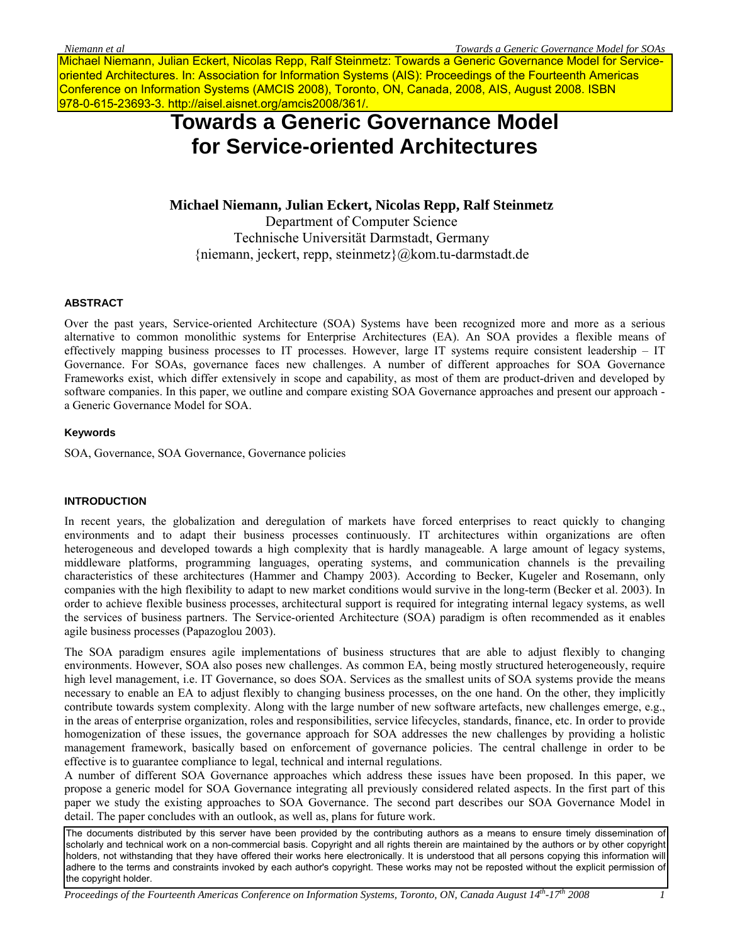Michael Niemann, Julian Eckert, Nicolas Repp, Ralf Steinmetz: Towards a Generic Governance Model for Serviceoriented Architectures. In: Association for Information Systems (AIS): Proceedings of the Fourteenth Americas Conference on Information Systems (AMCIS 2008), Toronto, ON, Canada, 2008, AIS, August 2008. ISBN 978-0-615-23693-3. http://aisel.aisnet.org/amcis2008/361/.

# **Towards a Generic Governance Model for Service-oriented Architectures**

**Michael Niemann, Julian Eckert, Nicolas Repp, Ralf Steinmetz**  Department of Computer Science Technische Universität Darmstadt, Germany {niemann, jeckert, repp, steinmetz}@kom.tu-darmstadt.de

#### **ABSTRACT**

Over the past years, Service-oriented Architecture (SOA) Systems have been recognized more and more as a serious alternative to common monolithic systems for Enterprise Architectures (EA). An SOA provides a flexible means of effectively mapping business processes to IT processes. However, large IT systems require consistent leadership – IT Governance. For SOAs, governance faces new challenges. A number of different approaches for SOA Governance Frameworks exist, which differ extensively in scope and capability, as most of them are product-driven and developed by software companies. In this paper, we outline and compare existing SOA Governance approaches and present our approach a Generic Governance Model for SOA.

#### **Keywords**

SOA, Governance, SOA Governance, Governance policies

#### **INTRODUCTION**

In recent years, the globalization and deregulation of markets have forced enterprises to react quickly to changing environments and to adapt their business processes continuously. IT architectures within organizations are often heterogeneous and developed towards a high complexity that is hardly manageable. A large amount of legacy systems, middleware platforms, programming languages, operating systems, and communication channels is the prevailing characteristics of these architectures (Hammer and Champy 2003). According to Becker, Kugeler and Rosemann, only companies with the high flexibility to adapt to new market conditions would survive in the long-term (Becker et al. 2003). In order to achieve flexible business processes, architectural support is required for integrating internal legacy systems, as well the services of business partners. The Service-oriented Architecture (SOA) paradigm is often recommended as it enables agile business processes (Papazoglou 2003).

The SOA paradigm ensures agile implementations of business structures that are able to adjust flexibly to changing environments. However, SOA also poses new challenges. As common EA, being mostly structured heterogeneously, require high level management, i.e. IT Governance, so does SOA. Services as the smallest units of SOA systems provide the means necessary to enable an EA to adjust flexibly to changing business processes, on the one hand. On the other, they implicitly contribute towards system complexity. Along with the large number of new software artefacts, new challenges emerge, e.g., in the areas of enterprise organization, roles and responsibilities, service lifecycles, standards, finance, etc. In order to provide homogenization of these issues, the governance approach for SOA addresses the new challenges by providing a holistic management framework, basically based on enforcement of governance policies. The central challenge in order to be effective is to guarantee compliance to legal, technical and internal regulations.

A number of different SOA Governance approaches which address these issues have been proposed. In this paper, we propose a generic model for SOA Governance integrating all previously considered related aspects. In the first part of this paper we study the existing approaches to SOA Governance. The second part describes our SOA Governance Model in detail. The paper concludes with an outlook, as well as, plans for future work.

The documents distributed by this server have been provided by the contributing authors as a means to ensure timely dissemination of scholarly and technical work on a non-commercial basis. Copyright and all rights therein are maintained by the authors or by other copyright holders, not withstanding that they have offered their works here electronically. It is understood that all persons copying this information will adhere to the terms and constraints invoked by each author's copyright. These works may not be reposted without the explicit permission of the copyright holder.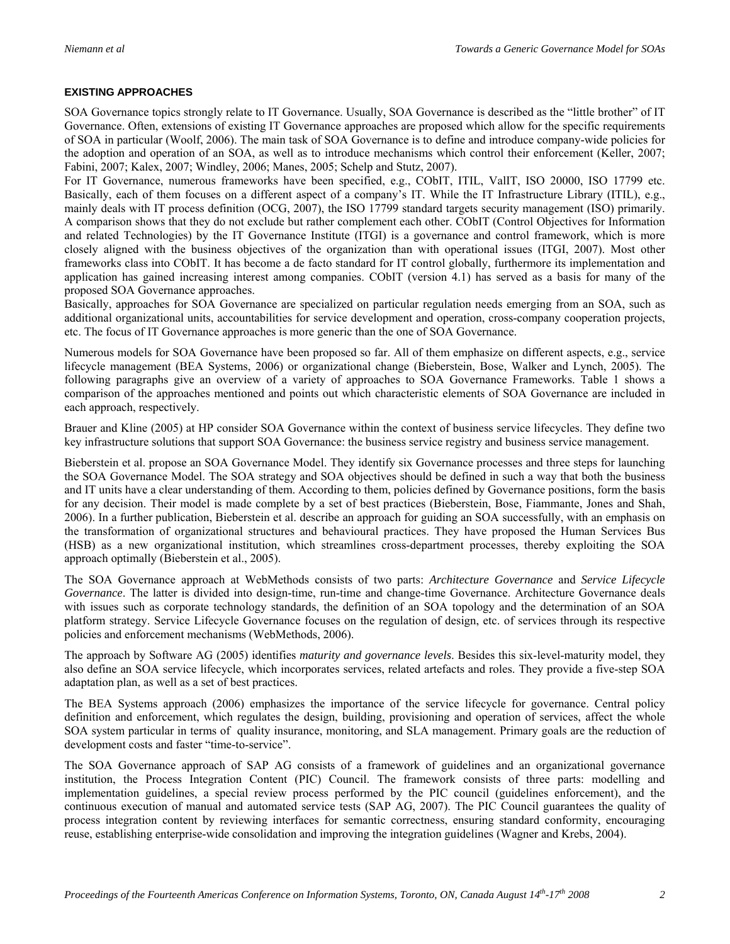## **EXISTING APPROACHES**

SOA Governance topics strongly relate to IT Governance. Usually, SOA Governance is described as the "little brother" of IT Governance. Often, extensions of existing IT Governance approaches are proposed which allow for the specific requirements of SOA in particular (Woolf, 2006). The main task of SOA Governance is to define and introduce company-wide policies for the adoption and operation of an SOA, as well as to introduce mechanisms which control their enforcement (Keller, 2007; Fabini, 2007; Kalex, 2007; Windley, 2006; Manes, 2005; Schelp and Stutz, 2007).

For IT Governance, numerous frameworks have been specified, e.g., CObIT, ITIL, ValIT, ISO 20000, ISO 17799 etc. Basically, each of them focuses on a different aspect of a company's IT. While the IT Infrastructure Library (ITIL), e.g., mainly deals with IT process definition (OCG, 2007), the ISO 17799 standard targets security management (ISO) primarily. A comparison shows that they do not exclude but rather complement each other. CObIT (Control Objectives for Information and related Technologies) by the IT Governance Institute (ITGI) is a governance and control framework, which is more closely aligned with the business objectives of the organization than with operational issues (ITGI, 2007). Most other frameworks class into CObIT. It has become a de facto standard for IT control globally, furthermore its implementation and application has gained increasing interest among companies. CObIT (version 4.1) has served as a basis for many of the proposed SOA Governance approaches.

Basically, approaches for SOA Governance are specialized on particular regulation needs emerging from an SOA, such as additional organizational units, accountabilities for service development and operation, cross-company cooperation projects, etc. The focus of IT Governance approaches is more generic than the one of SOA Governance.

Numerous models for SOA Governance have been proposed so far. All of them emphasize on different aspects, e.g., service lifecycle management (BEA Systems, 2006) or organizational change (Bieberstein, Bose, Walker and Lynch, 2005). The following paragraphs give an overview of a variety of approaches to SOA Governance Frameworks. Table 1 shows a comparison of the approaches mentioned and points out which characteristic elements of SOA Governance are included in each approach, respectively.

Brauer and Kline (2005) at HP consider SOA Governance within the context of business service lifecycles. They define two key infrastructure solutions that support SOA Governance: the business service registry and business service management.

Bieberstein et al. propose an SOA Governance Model. They identify six Governance processes and three steps for launching the SOA Governance Model. The SOA strategy and SOA objectives should be defined in such a way that both the business and IT units have a clear understanding of them. According to them, policies defined by Governance positions, form the basis for any decision. Their model is made complete by a set of best practices (Bieberstein, Bose, Fiammante, Jones and Shah, 2006). In a further publication, Bieberstein et al. describe an approach for guiding an SOA successfully, with an emphasis on the transformation of organizational structures and behavioural practices. They have proposed the Human Services Bus (HSB) as a new organizational institution, which streamlines cross-department processes, thereby exploiting the SOA approach optimally (Bieberstein et al., 2005).

The SOA Governance approach at WebMethods consists of two parts: *Architecture Governance* and *Service Lifecycle Governance*. The latter is divided into design-time, run-time and change-time Governance. Architecture Governance deals with issues such as corporate technology standards, the definition of an SOA topology and the determination of an SOA platform strategy. Service Lifecycle Governance focuses on the regulation of design, etc. of services through its respective policies and enforcement mechanisms (WebMethods, 2006).

The approach by Software AG (2005) identifies *maturity and governance levels*. Besides this six-level-maturity model, they also define an SOA service lifecycle, which incorporates services, related artefacts and roles. They provide a five-step SOA adaptation plan, as well as a set of best practices.

The BEA Systems approach (2006) emphasizes the importance of the service lifecycle for governance. Central policy definition and enforcement, which regulates the design, building, provisioning and operation of services, affect the whole SOA system particular in terms of quality insurance, monitoring, and SLA management. Primary goals are the reduction of development costs and faster "time-to-service".

The SOA Governance approach of SAP AG consists of a framework of guidelines and an organizational governance institution, the Process Integration Content (PIC) Council. The framework consists of three parts: modelling and implementation guidelines, a special review process performed by the PIC council (guidelines enforcement), and the continuous execution of manual and automated service tests (SAP AG, 2007). The PIC Council guarantees the quality of process integration content by reviewing interfaces for semantic correctness, ensuring standard conformity, encouraging reuse, establishing enterprise-wide consolidation and improving the integration guidelines (Wagner and Krebs, 2004).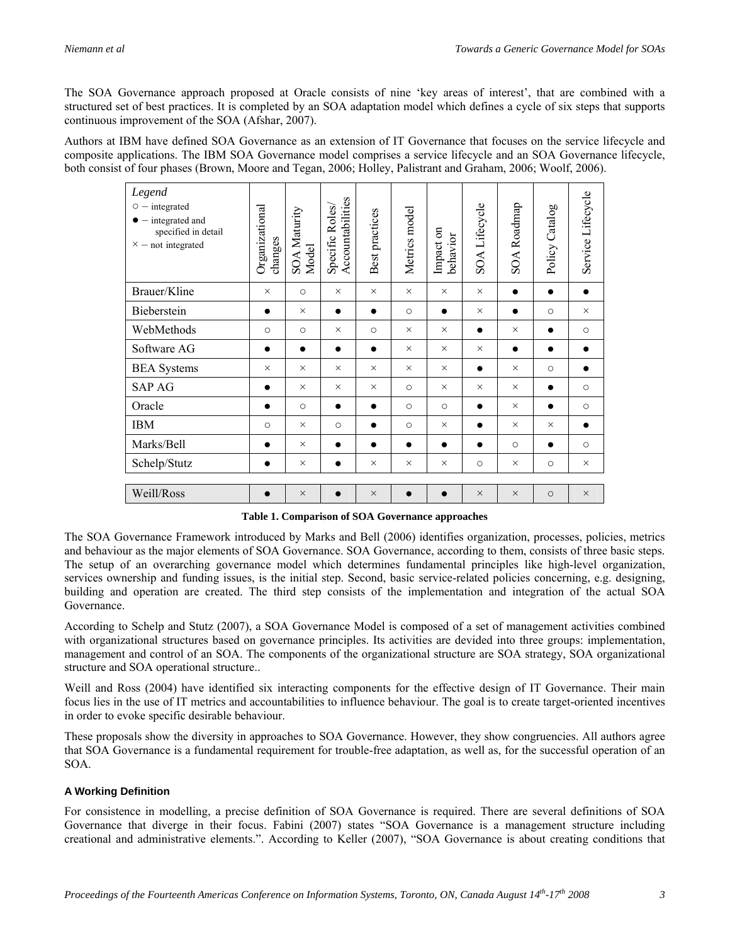The SOA Governance approach proposed at Oracle consists of nine 'key areas of interest', that are combined with a structured set of best practices. It is completed by an SOA adaptation model which defines a cycle of six steps that supports continuous improvement of the SOA (Afshar, 2007).

Authors at IBM have defined SOA Governance as an extension of IT Governance that focuses on the service lifecycle and composite applications. The IBM SOA Governance model comprises a service lifecycle and an SOA Governance lifecycle, both consist of four phases (Brown, Moore and Tegan, 2006; Holley, Palistrant and Graham, 2006; Woolf, 2006).

| Legend<br>$\circ$ - integrated<br>$\bullet$ - integrated and<br>specified in detail<br>$\times$ - not integrated | Organizational<br>changes | <b>SOA Maturity</b><br>Model | Accountabilities<br>Specific Roles | Best practices | Metrics model | Impact on<br>behavior | SOA Lifecycle | SOA Roadmap | Policy Catalog | Service Lifecycle |
|------------------------------------------------------------------------------------------------------------------|---------------------------|------------------------------|------------------------------------|----------------|---------------|-----------------------|---------------|-------------|----------------|-------------------|
| Brauer/Kline                                                                                                     | $\times$                  | $\circ$                      | $\times$                           | $\times$       | $\times$      | $\times$              | $\times$      | $\bullet$   | $\bullet$      |                   |
| Bieberstein                                                                                                      | $\bullet$                 | $\times$                     | $\bullet$                          | $\bullet$      | $\circ$       | $\bullet$             | $\times$      | $\bullet$   | $\circ$        | $\times$          |
| WebMethods                                                                                                       | $\circ$                   | $\circ$                      | $\times$                           | $\circ$        | $\times$      | $\times$              | $\bullet$     | $\times$    | $\bullet$      | $\circ$           |
| Software AG                                                                                                      | ●                         | $\bullet$                    | $\bullet$                          | $\bullet$      | $\times$      | $\times$              | $\times$      | $\bullet$   | $\bullet$      |                   |
| <b>BEA</b> Systems                                                                                               | $\times$                  | $\times$                     | $\times$                           | $\times$       | $\times$      | $\times$              | $\bullet$     | $\times$    | $\circ$        | $\bullet$         |
| <b>SAP AG</b>                                                                                                    | $\bullet$                 | $\times$                     | $\times$                           | $\times$       | $\circ$       | $\times$              | $\times$      | $\times$    | $\bullet$      | $\circ$           |
| Oracle                                                                                                           |                           | $\circ$                      |                                    |                | $\circ$       | $\circ$               | $\bullet$     | $\times$    | $\bullet$      | $\circ$           |
| <b>IBM</b>                                                                                                       | $\circ$                   | $\times$                     | $\circ$                            | $\bullet$      | $\circ$       | $\times$              | $\bullet$     | $\times$    | $\times$       |                   |
| Marks/Bell                                                                                                       |                           | $\times$                     | $\bullet$                          | $\bullet$      | $\bullet$     | $\bullet$             | $\bullet$     | $\circ$     | $\bullet$      | $\circ$           |
| Schelp/Stutz                                                                                                     |                           | $\times$                     |                                    | $\times$       | $\times$      | $\times$              | $\circ$       | $\times$    | $\circ$        | $\times$          |
| Weill/Ross                                                                                                       |                           | $\times$                     |                                    | $\times$       |               |                       | $\times$      | $\times$    | $\circ$        | $\times$          |

**Table 1. Comparison of SOA Governance approaches** 

The SOA Governance Framework introduced by Marks and Bell (2006) identifies organization, processes, policies, metrics and behaviour as the major elements of SOA Governance. SOA Governance, according to them, consists of three basic steps. The setup of an overarching governance model which determines fundamental principles like high-level organization, services ownership and funding issues, is the initial step. Second, basic service-related policies concerning, e.g. designing, building and operation are created. The third step consists of the implementation and integration of the actual SOA Governance.

According to Schelp and Stutz (2007), a SOA Governance Model is composed of a set of management activities combined with organizational structures based on governance principles. Its activities are devided into three groups: implementation, management and control of an SOA. The components of the organizational structure are SOA strategy, SOA organizational structure and SOA operational structure..

Weill and Ross (2004) have identified six interacting components for the effective design of IT Governance. Their main focus lies in the use of IT metrics and accountabilities to influence behaviour. The goal is to create target-oriented incentives in order to evoke specific desirable behaviour.

These proposals show the diversity in approaches to SOA Governance. However, they show congruencies. All authors agree that SOA Governance is a fundamental requirement for trouble-free adaptation, as well as, for the successful operation of an SOA.

# **A Working Definition**

For consistence in modelling, a precise definition of SOA Governance is required. There are several definitions of SOA Governance that diverge in their focus. Fabini (2007) states "SOA Governance is a management structure including creational and administrative elements.". According to Keller (2007), "SOA Governance is about creating conditions that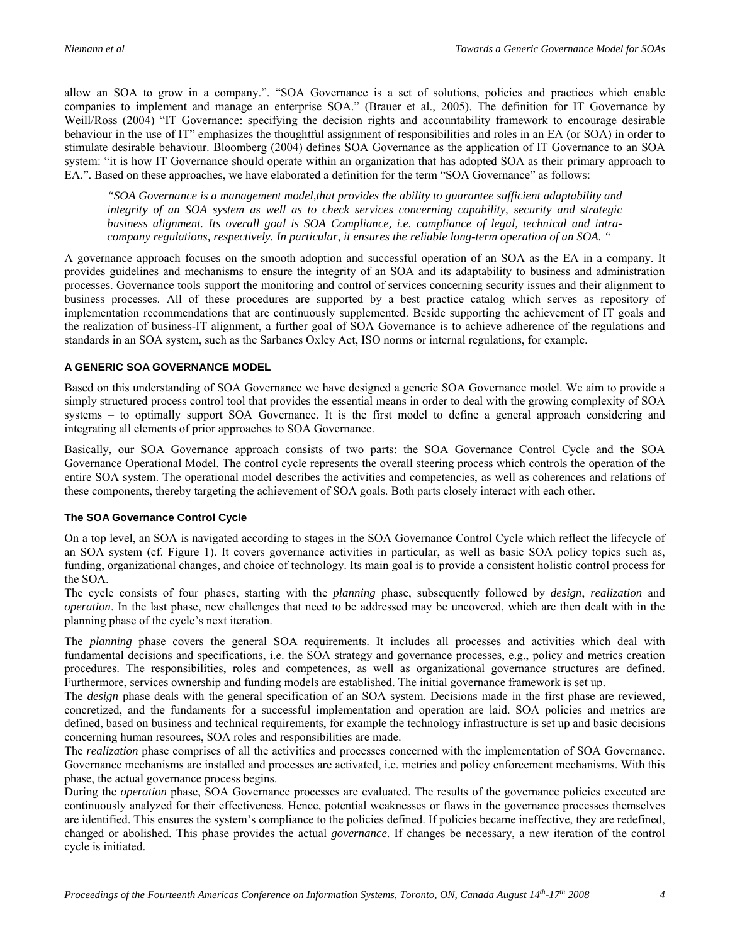allow an SOA to grow in a company.". "SOA Governance is a set of solutions, policies and practices which enable companies to implement and manage an enterprise SOA." (Brauer et al., 2005). The definition for IT Governance by Weill/Ross (2004) "IT Governance: specifying the decision rights and accountability framework to encourage desirable behaviour in the use of IT" emphasizes the thoughtful assignment of responsibilities and roles in an EA (or SOA) in order to stimulate desirable behaviour. Bloomberg (2004) defines SOA Governance as the application of IT Governance to an SOA system: "it is how IT Governance should operate within an organization that has adopted SOA as their primary approach to EA.". Based on these approaches, we have elaborated a definition for the term "SOA Governance" as follows:

*"SOA Governance is a management model,that provides the ability to guarantee sufficient adaptability and integrity of an SOA system as well as to check services concerning capability, security and strategic business alignment. Its overall goal is SOA Compliance, i.e. compliance of legal, technical and intracompany regulations, respectively. In particular, it ensures the reliable long-term operation of an SOA. "*

A governance approach focuses on the smooth adoption and successful operation of an SOA as the EA in a company. It provides guidelines and mechanisms to ensure the integrity of an SOA and its adaptability to business and administration processes. Governance tools support the monitoring and control of services concerning security issues and their alignment to business processes. All of these procedures are supported by a best practice catalog which serves as repository of implementation recommendations that are continuously supplemented. Beside supporting the achievement of IT goals and the realization of business-IT alignment, a further goal of SOA Governance is to achieve adherence of the regulations and standards in an SOA system, such as the Sarbanes Oxley Act, ISO norms or internal regulations, for example.

## **A GENERIC SOA GOVERNANCE MODEL**

Based on this understanding of SOA Governance we have designed a generic SOA Governance model. We aim to provide a simply structured process control tool that provides the essential means in order to deal with the growing complexity of SOA systems – to optimally support SOA Governance. It is the first model to define a general approach considering and integrating all elements of prior approaches to SOA Governance.

Basically, our SOA Governance approach consists of two parts: the SOA Governance Control Cycle and the SOA Governance Operational Model. The control cycle represents the overall steering process which controls the operation of the entire SOA system. The operational model describes the activities and competencies, as well as coherences and relations of these components, thereby targeting the achievement of SOA goals. Both parts closely interact with each other.

## **The SOA Governance Control Cycle**

On a top level, an SOA is navigated according to stages in the SOA Governance Control Cycle which reflect the lifecycle of an SOA system (cf. Figure 1). It covers governance activities in particular, as well as basic SOA policy topics such as, funding, organizational changes, and choice of technology. Its main goal is to provide a consistent holistic control process for the SOA.

The cycle consists of four phases, starting with the *planning* phase, subsequently followed by *design*, *realization* and *operation*. In the last phase, new challenges that need to be addressed may be uncovered, which are then dealt with in the planning phase of the cycle's next iteration.

The *planning* phase covers the general SOA requirements. It includes all processes and activities which deal with fundamental decisions and specifications, i.e. the SOA strategy and governance processes, e.g., policy and metrics creation procedures. The responsibilities, roles and competences, as well as organizational governance structures are defined. Furthermore, services ownership and funding models are established. The initial governance framework is set up.

The *design* phase deals with the general specification of an SOA system. Decisions made in the first phase are reviewed, concretized, and the fundaments for a successful implementation and operation are laid. SOA policies and metrics are defined, based on business and technical requirements, for example the technology infrastructure is set up and basic decisions concerning human resources, SOA roles and responsibilities are made.

The *realization* phase comprises of all the activities and processes concerned with the implementation of SOA Governance. Governance mechanisms are installed and processes are activated, i.e. metrics and policy enforcement mechanisms. With this phase, the actual governance process begins.

During the *operation* phase, SOA Governance processes are evaluated. The results of the governance policies executed are continuously analyzed for their effectiveness. Hence, potential weaknesses or flaws in the governance processes themselves are identified. This ensures the system's compliance to the policies defined. If policies became ineffective, they are redefined, changed or abolished. This phase provides the actual *governance*. If changes be necessary, a new iteration of the control cycle is initiated.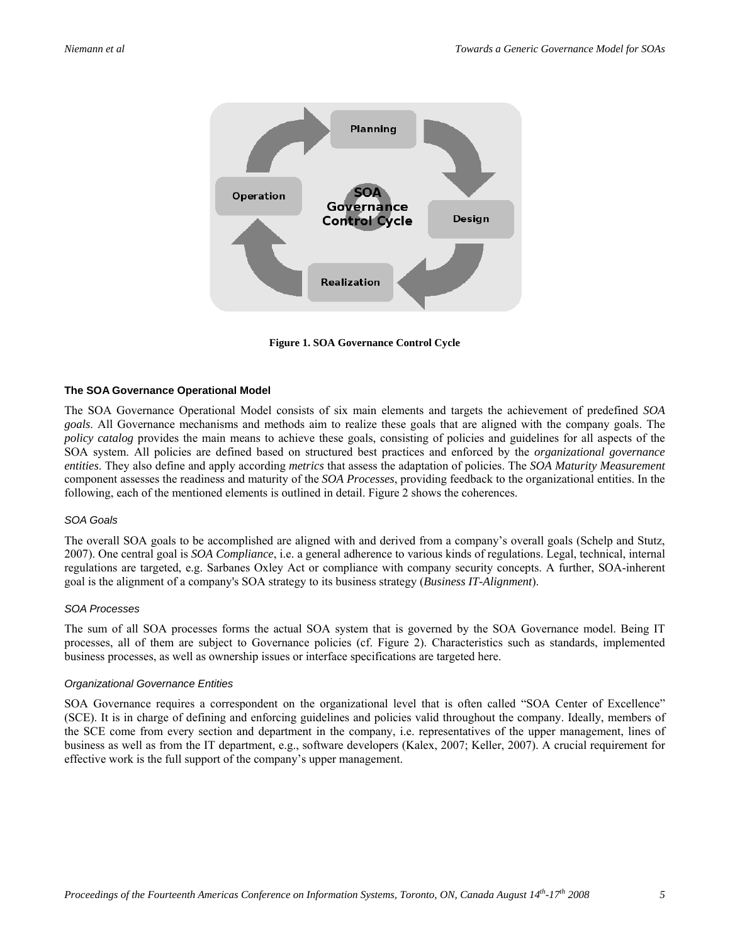

**Figure 1. SOA Governance Control Cycle** 

#### **The SOA Governance Operational Model**

The SOA Governance Operational Model consists of six main elements and targets the achievement of predefined *SOA goals*. All Governance mechanisms and methods aim to realize these goals that are aligned with the company goals. The *policy catalog* provides the main means to achieve these goals, consisting of policies and guidelines for all aspects of the SOA system. All policies are defined based on structured best practices and enforced by the *organizational governance entities*. They also define and apply according *metrics* that assess the adaptation of policies. The *SOA Maturity Measurement* component assesses the readiness and maturity of the *SOA Processes*, providing feedback to the organizational entities. In the following, each of the mentioned elements is outlined in detail. Figure 2 shows the coherences.

#### *SOA Goals*

The overall SOA goals to be accomplished are aligned with and derived from a company's overall goals (Schelp and Stutz, 2007). One central goal is *SOA Compliance*, i.e. a general adherence to various kinds of regulations. Legal, technical, internal regulations are targeted, e.g. Sarbanes Oxley Act or compliance with company security concepts. A further, SOA-inherent goal is the alignment of a company's SOA strategy to its business strategy (*Business IT-Alignment*).

#### *SOA Processes*

The sum of all SOA processes forms the actual SOA system that is governed by the SOA Governance model. Being IT processes, all of them are subject to Governance policies (cf. Figure 2). Characteristics such as standards, implemented business processes, as well as ownership issues or interface specifications are targeted here.

#### *Organizational Governance Entities*

SOA Governance requires a correspondent on the organizational level that is often called "SOA Center of Excellence" (SCE). It is in charge of defining and enforcing guidelines and policies valid throughout the company. Ideally, members of the SCE come from every section and department in the company, i.e. representatives of the upper management, lines of business as well as from the IT department, e.g., software developers (Kalex, 2007; Keller, 2007). A crucial requirement for effective work is the full support of the company's upper management.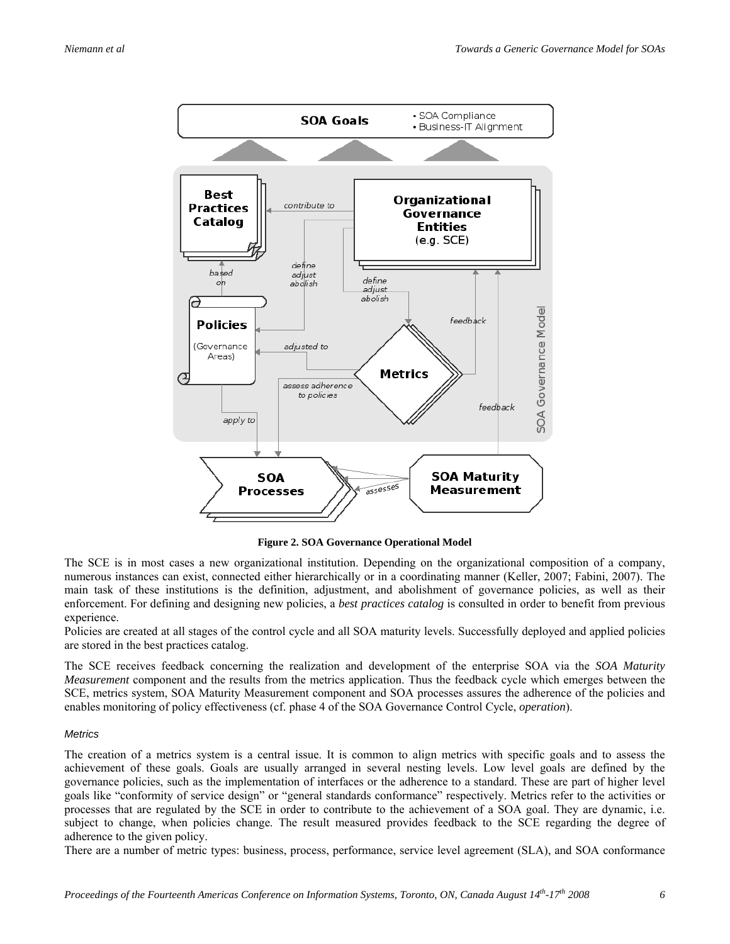

**Figure 2. SOA Governance Operational Model** 

The SCE is in most cases a new organizational institution. Depending on the organizational composition of a company, numerous instances can exist, connected either hierarchically or in a coordinating manner (Keller, 2007; Fabini, 2007). The main task of these institutions is the definition, adjustment, and abolishment of governance policies, as well as their enforcement. For defining and designing new policies, a *best practices catalog* is consulted in order to benefit from previous experience.

Policies are created at all stages of the control cycle and all SOA maturity levels. Successfully deployed and applied policies are stored in the best practices catalog.

The SCE receives feedback concerning the realization and development of the enterprise SOA via the *SOA Maturity Measurement* component and the results from the metrics application. Thus the feedback cycle which emerges between the SCE, metrics system, SOA Maturity Measurement component and SOA processes assures the adherence of the policies and enables monitoring of policy effectiveness (cf. phase 4 of the SOA Governance Control Cycle, *operation*).

## *Metrics*

The creation of a metrics system is a central issue. It is common to align metrics with specific goals and to assess the achievement of these goals. Goals are usually arranged in several nesting levels. Low level goals are defined by the governance policies, such as the implementation of interfaces or the adherence to a standard. These are part of higher level goals like "conformity of service design" or "general standards conformance" respectively. Metrics refer to the activities or processes that are regulated by the SCE in order to contribute to the achievement of a SOA goal. They are dynamic, i.e. subject to change, when policies change. The result measured provides feedback to the SCE regarding the degree of adherence to the given policy.

There are a number of metric types: business, process, performance, service level agreement (SLA), and SOA conformance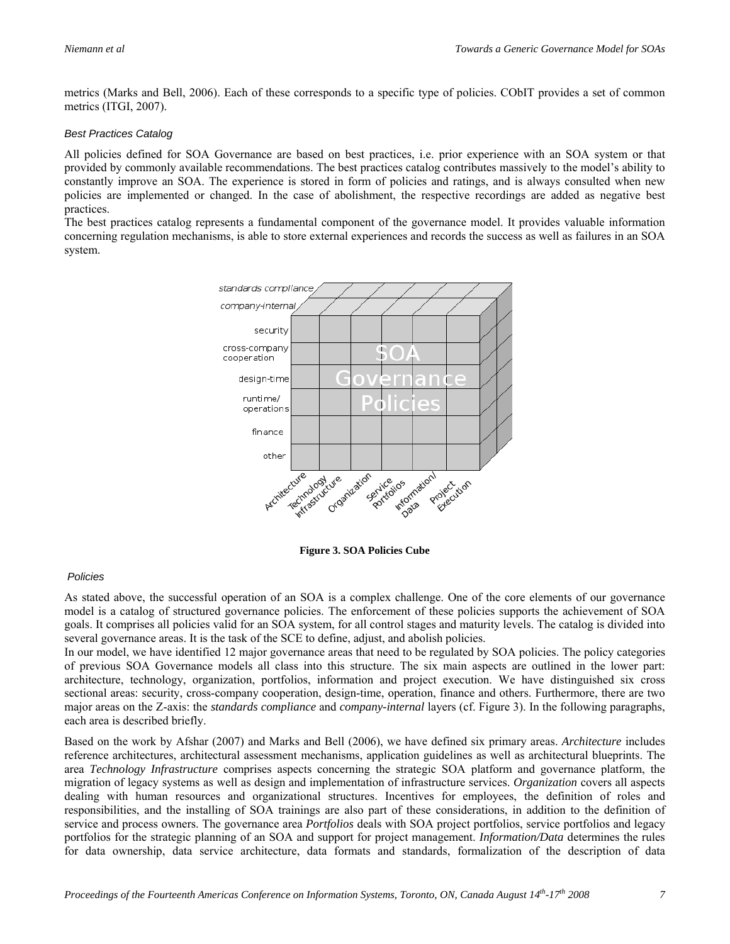metrics (Marks and Bell, 2006). Each of these corresponds to a specific type of policies. CObIT provides a set of common metrics (ITGI, 2007).

### *Best Practices Catalog*

All policies defined for SOA Governance are based on best practices, i.e. prior experience with an SOA system or that provided by commonly available recommendations. The best practices catalog contributes massively to the model's ability to constantly improve an SOA. The experience is stored in form of policies and ratings, and is always consulted when new policies are implemented or changed. In the case of abolishment, the respective recordings are added as negative best practices.

The best practices catalog represents a fundamental component of the governance model. It provides valuable information concerning regulation mechanisms, is able to store external experiences and records the success as well as failures in an SOA system.



**Figure 3. SOA Policies Cube** 

## *Policies*

As stated above, the successful operation of an SOA is a complex challenge. One of the core elements of our governance model is a catalog of structured governance policies. The enforcement of these policies supports the achievement of SOA goals. It comprises all policies valid for an SOA system, for all control stages and maturity levels. The catalog is divided into several governance areas. It is the task of the SCE to define, adjust, and abolish policies.

In our model, we have identified 12 major governance areas that need to be regulated by SOA policies. The policy categories of previous SOA Governance models all class into this structure. The six main aspects are outlined in the lower part: architecture, technology, organization, portfolios, information and project execution. We have distinguished six cross sectional areas: security, cross-company cooperation, design-time, operation, finance and others. Furthermore, there are two major areas on the Z-axis: the *standards compliance* and *company-internal* layers (cf. Figure 3). In the following paragraphs, each area is described briefly.

Based on the work by Afshar (2007) and Marks and Bell (2006), we have defined six primary areas. *Architecture* includes reference architectures, architectural assessment mechanisms, application guidelines as well as architectural blueprints. The area *Technology Infrastructure* comprises aspects concerning the strategic SOA platform and governance platform, the migration of legacy systems as well as design and implementation of infrastructure services. *Organization* covers all aspects dealing with human resources and organizational structures. Incentives for employees, the definition of roles and responsibilities, and the installing of SOA trainings are also part of these considerations, in addition to the definition of service and process owners. The governance area *Portfolios* deals with SOA project portfolios, service portfolios and legacy portfolios for the strategic planning of an SOA and support for project management. *Information/Data* determines the rules for data ownership, data service architecture, data formats and standards, formalization of the description of data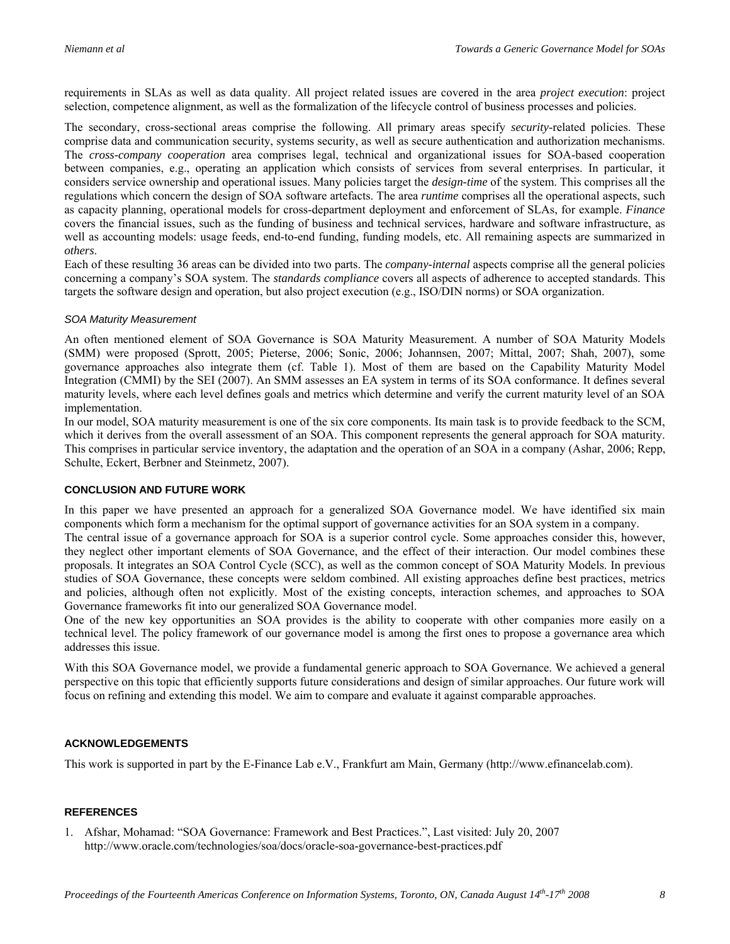requirements in SLAs as well as data quality. All project related issues are covered in the area *project execution*: project selection, competence alignment, as well as the formalization of the lifecycle control of business processes and policies.

The secondary, cross-sectional areas comprise the following. All primary areas specify *security*-related policies. These comprise data and communication security, systems security, as well as secure authentication and authorization mechanisms. The *cross-company cooperation* area comprises legal, technical and organizational issues for SOA-based cooperation between companies, e.g., operating an application which consists of services from several enterprises. In particular, it considers service ownership and operational issues. Many policies target the *design-time* of the system. This comprises all the regulations which concern the design of SOA software artefacts. The area *runtime* comprises all the operational aspects, such as capacity planning, operational models for cross-department deployment and enforcement of SLAs, for example. *Finance* covers the financial issues, such as the funding of business and technical services, hardware and software infrastructure, as well as accounting models: usage feeds, end-to-end funding, funding models, etc. All remaining aspects are summarized in *others*.

Each of these resulting 36 areas can be divided into two parts. The *company-internal* aspects comprise all the general policies concerning a company's SOA system. The *standards compliance* covers all aspects of adherence to accepted standards. This targets the software design and operation, but also project execution (e.g., ISO/DIN norms) or SOA organization.

## *SOA Maturity Measurement*

An often mentioned element of SOA Governance is SOA Maturity Measurement. A number of SOA Maturity Models (SMM) were proposed (Sprott, 2005; Pieterse, 2006; Sonic, 2006; Johannsen, 2007; Mittal, 2007; Shah, 2007), some governance approaches also integrate them (cf. Table 1). Most of them are based on the Capability Maturity Model Integration (CMMI) by the SEI (2007). An SMM assesses an EA system in terms of its SOA conformance. It defines several maturity levels, where each level defines goals and metrics which determine and verify the current maturity level of an SOA implementation.

In our model, SOA maturity measurement is one of the six core components. Its main task is to provide feedback to the SCM, which it derives from the overall assessment of an SOA. This component represents the general approach for SOA maturity. This comprises in particular service inventory, the adaptation and the operation of an SOA in a company (Ashar, 2006; Repp, Schulte, Eckert, Berbner and Steinmetz, 2007).

## **CONCLUSION AND FUTURE WORK**

In this paper we have presented an approach for a generalized SOA Governance model. We have identified six main components which form a mechanism for the optimal support of governance activities for an SOA system in a company.

The central issue of a governance approach for SOA is a superior control cycle. Some approaches consider this, however, they neglect other important elements of SOA Governance, and the effect of their interaction. Our model combines these proposals. It integrates an SOA Control Cycle (SCC), as well as the common concept of SOA Maturity Models. In previous studies of SOA Governance, these concepts were seldom combined. All existing approaches define best practices, metrics and policies, although often not explicitly. Most of the existing concepts, interaction schemes, and approaches to SOA Governance frameworks fit into our generalized SOA Governance model.

One of the new key opportunities an SOA provides is the ability to cooperate with other companies more easily on a technical level. The policy framework of our governance model is among the first ones to propose a governance area which addresses this issue.

With this SOA Governance model, we provide a fundamental generic approach to SOA Governance. We achieved a general perspective on this topic that efficiently supports future considerations and design of similar approaches. Our future work will focus on refining and extending this model. We aim to compare and evaluate it against comparable approaches.

# **ACKNOWLEDGEMENTS**

This work is supported in part by the E-Finance Lab e.V., Frankfurt am Main, Germany (http://www.efinancelab.com).

## **REFERENCES**

1. Afshar, Mohamad: "SOA Governance: Framework and Best Practices.", Last visited: July 20, 2007 http://www.oracle.com/technologies/soa/docs/oracle-soa-governance-best-practices.pdf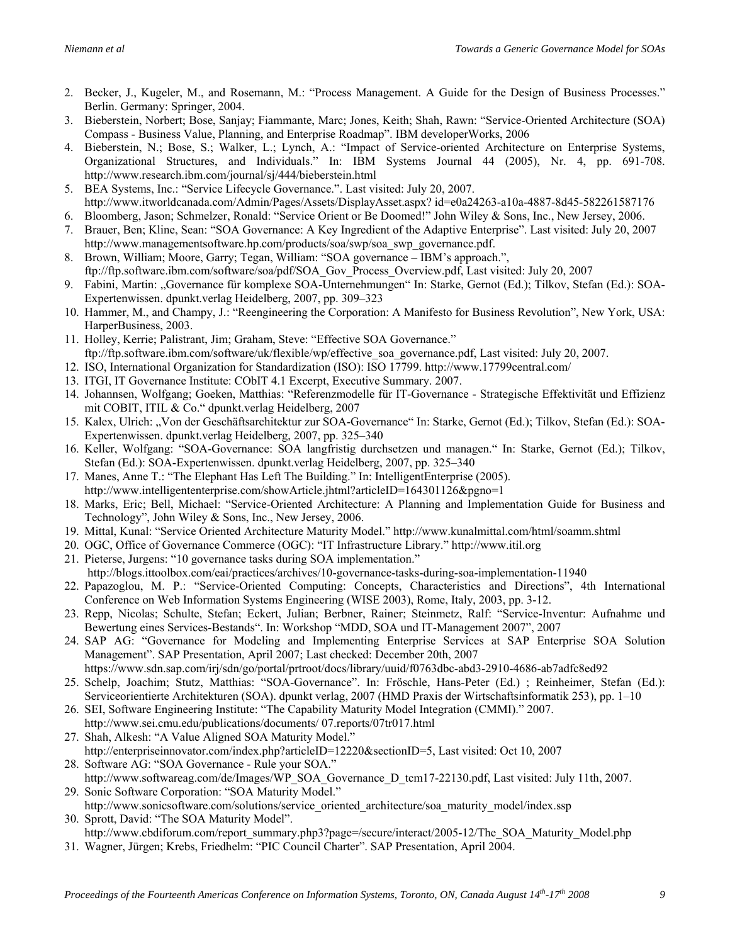- 2. Becker, J., Kugeler, M., and Rosemann, M.: "Process Management. A Guide for the Design of Business Processes." Berlin. Germany: Springer, 2004.
- 3. Bieberstein, Norbert; Bose, Sanjay; Fiammante, Marc; Jones, Keith; Shah, Rawn: "Service-Oriented Architecture (SOA) Compass - Business Value, Planning, and Enterprise Roadmap". IBM developerWorks, 2006
- 4. Bieberstein, N.; Bose, S.; Walker, L.; Lynch, A.: "Impact of Service-oriented Architecture on Enterprise Systems, Organizational Structures, and Individuals." In: IBM Systems Journal 44 (2005), Nr. 4, pp. 691-708. http://www.research.ibm.com/journal/sj/444/bieberstein.html
- 5. BEA Systems, Inc.: "Service Lifecycle Governance.". Last visited: July 20, 2007. http://www.itworldcanada.com/Admin/Pages/Assets/DisplayAsset.aspx? id=e0a24263-a10a-4887-8d45-582261587176
- 6. Bloomberg, Jason; Schmelzer, Ronald: "Service Orient or Be Doomed!" John Wiley & Sons, Inc., New Jersey, 2006.
- 7. Brauer, Ben; Kline, Sean: "SOA Governance: A Key Ingredient of the Adaptive Enterprise". Last visited: July 20, 2007 http://www.managementsoftware.hp.com/products/soa/swp/soa\_swp\_governance.pdf.
- 8. Brown, William; Moore, Garry; Tegan, William: "SOA governance IBM's approach.", ftp://ftp.software.ibm.com/software/soa/pdf/SOA\_Gov\_Process\_Overview.pdf, Last visited: July 20, 2007
- 9. Fabini, Martin: "Governance für komplexe SOA-Unternehmungen" In: Starke, Gernot (Ed.); Tilkov, Stefan (Ed.): SOA-Expertenwissen. dpunkt.verlag Heidelberg, 2007, pp. 309–323
- 10. Hammer, M., and Champy, J.: "Reengineering the Corporation: A Manifesto for Business Revolution", New York, USA: HarperBusiness, 2003.
- 11. Holley, Kerrie; Palistrant, Jim; Graham, Steve: "Effective SOA Governance." ftp://ftp.software.ibm.com/software/uk/flexible/wp/effective\_soa\_governance.pdf, Last visited: July 20, 2007.
- 12. ISO, International Organization for Standardization (ISO): ISO 17799. http://www.17799central.com/
- 13. ITGI, IT Governance Institute: CObIT 4.1 Excerpt, Executive Summary. 2007.
- 14. Johannsen, Wolfgang; Goeken, Matthias: "Referenzmodelle für IT-Governance Strategische Effektivität und Effizienz mit COBIT, ITIL & Co." dpunkt.verlag Heidelberg, 2007
- 15. Kalex, Ulrich: "Von der Geschäftsarchitektur zur SOA-Governance" In: Starke, Gernot (Ed.); Tilkov, Stefan (Ed.): SOA-Expertenwissen. dpunkt.verlag Heidelberg, 2007, pp. 325–340
- 16. Keller, Wolfgang: "SOA-Governance: SOA langfristig durchsetzen und managen." In: Starke, Gernot (Ed.); Tilkov, Stefan (Ed.): SOA-Expertenwissen. dpunkt.verlag Heidelberg, 2007, pp. 325–340
- 17. Manes, Anne T.: "The Elephant Has Left The Building." In: IntelligentEnterprise (2005). http://www.intelligententerprise.com/showArticle.jhtml?articleID=164301126&pgno=1
- 18. Marks, Eric; Bell, Michael: "Service-Oriented Architecture: A Planning and Implementation Guide for Business and Technology", John Wiley & Sons, Inc., New Jersey, 2006.
- 19. Mittal, Kunal: "Service Oriented Architecture Maturity Model." http://www.kunalmittal.com/html/soamm.shtml
- 20. OGC, Office of Governance Commerce (OGC): "IT Infrastructure Library." http://www.itil.org
- 21. Pieterse, Jurgens: "10 governance tasks during SOA implementation."
- http://blogs.ittoolbox.com/eai/practices/archives/10-governance-tasks-during-soa-implementation-11940
- 22. Papazoglou, M. P.: "Service-Oriented Computing: Concepts, Characteristics and Directions", 4th International Conference on Web Information Systems Engineering (WISE 2003), Rome, Italy, 2003, pp. 3-12.
- 23. Repp, Nicolas; Schulte, Stefan; Eckert, Julian; Berbner, Rainer; Steinmetz, Ralf: "Service-Inventur: Aufnahme und Bewertung eines Services-Bestands". In: Workshop "MDD, SOA und IT-Management 2007", 2007
- 24. SAP AG: "Governance for Modeling and Implementing Enterprise Services at SAP Enterprise SOA Solution Management". SAP Presentation, April 2007; Last checked: December 20th, 2007
- https://www.sdn.sap.com/irj/sdn/go/portal/prtroot/docs/library/uuid/f0763dbc-abd3-2910-4686-ab7adfc8ed92 25. Schelp, Joachim; Stutz, Matthias: "SOA-Governance". In: Fröschle, Hans-Peter (Ed.) ; Reinheimer, Stefan (Ed.):
- Serviceorientierte Architekturen (SOA). dpunkt verlag, 2007 (HMD Praxis der Wirtschaftsinformatik 253), pp. 1–10
- 26. SEI, Software Engineering Institute: "The Capability Maturity Model Integration (CMMI)." 2007. http://www.sei.cmu.edu/publications/documents/ 07.reports/07tr017.html
- 27. Shah, Alkesh: "A Value Aligned SOA Maturity Model."
- http://enterpriseinnovator.com/index.php?articleID=12220&sectionID=5, Last visited: Oct 10, 2007 28. Software AG: "SOA Governance - Rule your SOA."
- http://www.softwareag.com/de/Images/WP\_SOA\_Governance\_D\_tcm17-22130.pdf, Last visited: July 11th, 2007. 29. Sonic Software Corporation: "SOA Maturity Model."
- http://www.sonicsoftware.com/solutions/service\_oriented\_architecture/soa\_maturity\_model/index.ssp 30. Sprott, David: "The SOA Maturity Model".
- http://www.cbdiforum.com/report\_summary.php3?page=/secure/interact/2005-12/The\_SOA\_Maturity\_Model.php
- 31. Wagner, Jürgen; Krebs, Friedhelm: "PIC Council Charter". SAP Presentation, April 2004.